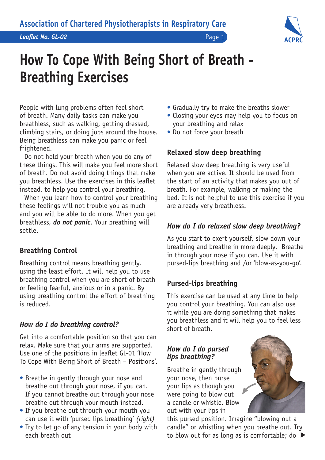

# **How To Cope With Being Short of Breath - Breathing Exercises**

People with lung problems often feel short of breath. Many daily tasks can make you breathless, such as walking, getting dressed, climbing stairs, or doing jobs around the house. Being breathless can make you panic or feel frightened.

Do not hold your breath when you do any of these things. This will make you feel more short of breath. Do not avoid doing things that make you breathless. Use the exercises in this leaflet instead, to help you control your breathing.

When you learn how to control your breathing these feelings will not trouble you as much and you will be able to do more. When you get breathless, *do not panic*. Your breathing will settle.

## **Breathing Control**

Breathing control means breathing gently, using the least effort. It will help you to use breathing control when you are short of breath or feeling fearful, anxious or in a panic. By using breathing control the effort of breathing is reduced.

# *How do I do breathing control?*

Get into a comfortable position so that you can relax. Make sure that your arms are supported. Use one of the positions in leaflet GL-01 'How To Cope With Being Short of Breath – Positions'.

- Breathe in gently through your nose and breathe out through your nose, if you can. If you cannot breathe out through your nose breathe out through your mouth instead.
- If you breathe out through your mouth you can use it with 'pursed lips breathing' *(right)*
- Try to let go of any tension in your body with each breath out
- Gradually try to make the breaths slower
- Closing your eyes may help you to focus on your breathing and relax
- Do not force your breath

# **Relaxed slow deep breathing**

Relaxed slow deep breathing is very useful when you are active. It should be used from the start of an activity that makes you out of breath. For example, walking or making the bed. It is not helpful to use this exercise if you are already very breathless.

# *How do I do relaxed slow deep breathing?*

As you start to exert yourself, slow down your breathing and breathe in more deeply. Breathe in through your nose if you can. Use it with pursed-lips breathing and /or 'blow-as-you-go'.

# **Pursed-lips breathing**

This exercise can be used at any time to help you control your breathing. You can also use it while you are doing something that makes you breathless and it will help you to feel less short of breath.

## *How do I do pursed lips breathing?*

Breathe in gently through your nose, then purse your lips as though you were going to blow out a candle or whistle. Blow out with your lips in

this pursed position. Imagine "blowing out a candle" or whistling when you breathe out. Try to blow out for as long as is comfortable; do ▶

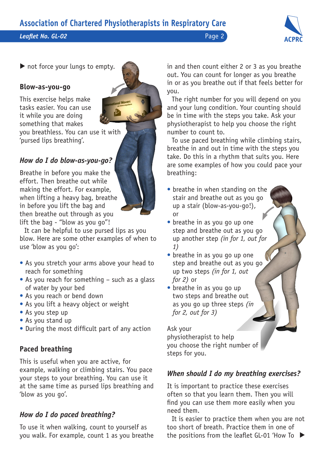*Leaflet No. GL-02* Page 2



not force your lungs to empty.

#### **Blow-as-you-go**

This exercise helps make tasks easier. You can use it while you are doing something that makes you breathless. You can use it with 'pursed lips breathing'.

## *How do I do blow-as-you-go?*

Breathe in before you make the effort. Then breathe out while making the effort. For example, when lifting a heavy bag, breathe in before you lift the bag and then breathe out through as you lift the bag - "blow as you go"!

It can be helpful to use pursed lips as you blow. Here are some other examples of when to use 'blow as you go':

- As you stretch your arms above your head to reach for something
- As you reach for something such as a glass of water by your bed
- As you reach or bend down
- As you lift a heavy object or weight
- As you step up
- As you stand up
- During the most difficult part of any action

## **Paced breathing**

This is useful when you are active, for example, walking or climbing stairs. You pace your steps to your breathing. You can use it at the same time as pursed lips breathing and 'blow as you go'.

### *How do I do paced breathing?*

To use it when walking, count to yourself as you walk. For example, count 1 as you breathe in and then count either 2 or 3 as you breathe out. You can count for longer as you breathe in or as you breathe out if that feels better for you.

The right number for you will depend on you and your lung condition. Your counting should be in time with the steps you take. Ask your physiotherapist to help you choose the right number to count to.

To use paced breathing while climbing stairs, breathe in and out in time with the steps you take. Do this in a rhythm that suits you. Here are some examples of how you could pace your breathing:

- breathe in when standing on the stair and breathe out as you go up a stair (blow-as-you-go!), or
- breathe in as you go up one step and breathe out as you go up another step *(in for 1, out for 1)*
- breathe in as you go up one step and breathe out as you go up two steps *(in for 1, out for 2)* or
- breathe in as you go up two steps and breathe out as you go up three steps *(in for 2, out for 3)*

Ask your physiotherapist to help you choose the right number of steps for you.

## *When should I do my breathing exercises?*

It is important to practice these exercises often so that you learn them. Then you will find you can use them more easily when you need them.

It is easier to practice them when you are not too short of breath. Practice them in one of the positions from the leaflet GL-01 'How To